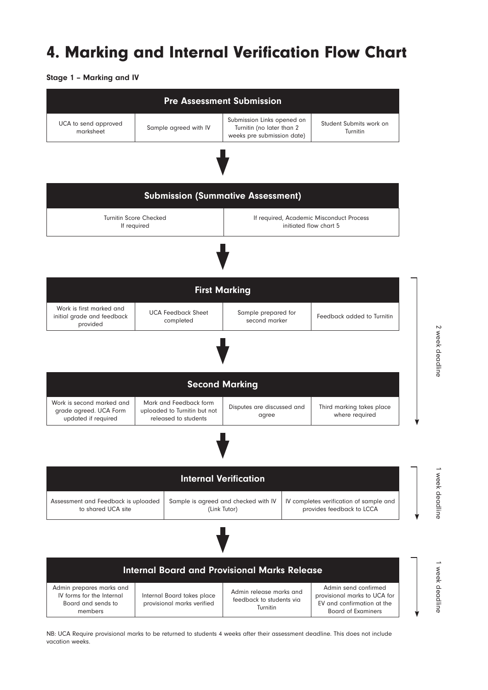## 4. Marking and Internal Verification Flow Chart

Stage 1 – Marking and IV



NB: UCA Require provisional marks to be returned to students 4 weeks after their assessment deadline. This does not include vacation weeks.